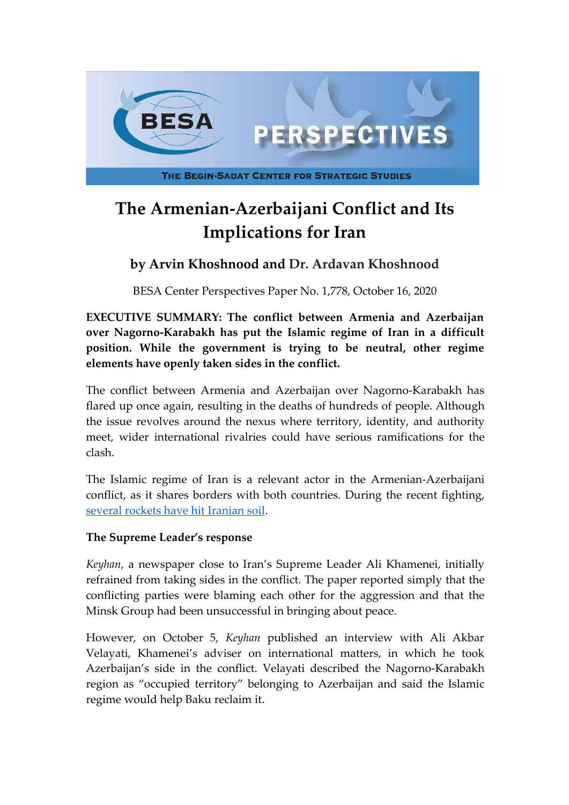

# **The Armenian-Azerbaijani Conflict and Its Implications for Iran**

# **by Arvin Khoshnood and Dr. Ardavan Khoshnood**

BESA Center Perspectives Paper No. 1,778, October 16, 2020

**EXECUTIVE SUMMARY: The conflict between Armenia and Azerbaijan over Nagorno-Karabakh has put the Islamic regime of Iran in a difficult position. While the government is trying to be neutral, other regime elements have openly taken sides in the conflict.**

The conflict between Armenia and Azerbaijan over Nagorno-Karabakh has flared up once again, resulting in the deaths of hundreds of people. Although the issue revolves around the nexus where territory, identity, and authority meet, wider international rivalries could have serious ramifications for the clash.

The Islamic regime of Iran is a relevant actor in the Armenian-Azerbaijani conflict, as it shares borders with both countries. During the recent fighting, [several rockets have hit Iranian soil](http://www.irandaily.ir/News/275044.html).

#### **The Supreme Leader's response**

*Keyhan*, a newspaper close to Iran's Supreme Leader Ali Khamenei, initially refrained from taking sides in the conflict. The paper reported simply that the conflicting parties were blaming each other for the aggression and that the Minsk Group had been unsuccessful in bringing about peace.

However, on October 5, *Keyhan* published an interview with Ali Akbar Velayati, Khamenei's adviser on international matters, in which he took Azerbaijan's side in the conflict. Velayati described the Nagorno-Karabakh region as "occupied territory" belonging to Azerbaijan and said the Islamic regime would help Baku reclaim it.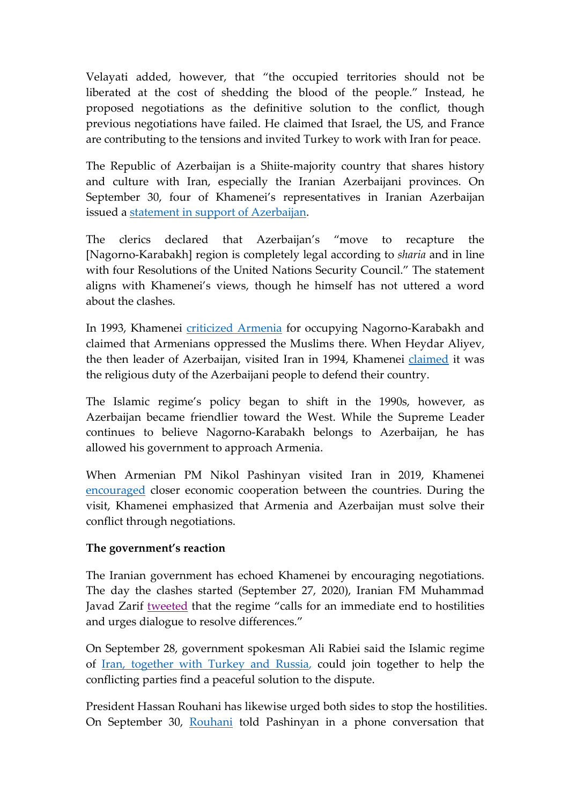Velayati added, however, that "the occupied territories should not be liberated at the cost of shedding the blood of the people." Instead, he proposed negotiations as the definitive solution to the conflict, though previous negotiations have failed. He claimed that Israel, the US, and France are contributing to the tensions and invited Turkey to work with Iran for peace.

The Republic of Azerbaijan is a Shiite-majority country that shares history and culture with Iran, especially the Iranian Azerbaijani provinces. On September 30, four of Khamenei's representatives in Iranian Azerbaijan issued a <u>statement in support of Azerbaijan</u>.

The clerics declared that Azerbaijan's "move to recapture the [Nagorno-Karabakh] region is completely legal according to *sharia* and in line with four Resolutions of the United Nations Security Council." The statement aligns with Khamenei's views, though he himself has not uttered a word about the clashes.

In 1993, Khamenei [criticized Armenia](https://farsi.khamenei.ir/news-content?id=10527) for occupying Nagorno-Karabakh and claimed that Armenians oppressed the Muslims there. When Heydar Aliyev, the then leader of Azerbaijan, visited Iran in 1994, Khamenei [claimed](https://farsi.khamenei.ir/news-content?id=11233%C2%A0) it was the religious duty of the Azerbaijani people to defend their country.

The Islamic regime's policy began to shift in the 1990s, however, as Azerbaijan became friendlier toward the West. While the Supreme Leader continues to believe Nagorno-Karabakh belongs to Azerbaijan, he has allowed his government to approach Armenia.

When Armenian PM Nikol Pashinyan visited Iran in 2019, Khamenei [encouraged](https://farsi.khamenei.ir/news-content?id=41821) closer economic cooperation between the countries. During the visit, Khamenei emphasized that Armenia and Azerbaijan must solve their conflict through negotiations.

#### **The government's reaction**

The Iranian government has echoed Khamenei by encouraging negotiations. The day the clashes started (September 27, 2020), Iranian FM Muhammad Javad Zarif [tweeted](https://twitter.com/JZarif/status/1310237342922346497) that the regime "calls for an immediate end to hostilities and urges dialogue to resolve differences."

On September 28, government spokesman Ali Rabiei said the Islamic regime of [Iran, together with Turkey and Russia](https://www.presstv.com/Detail/2020/09/29/635278/Rabiei-Iran-Turkey-Russia-Armenia-Azerbaijan-Karabakh-government-spokesman), could join together to help the conflicting parties find a peaceful solution to the dispute.

President Hassan Rouhani has likewise urged both sides to stop the hostilities. On September 30, [Rouhani](http://www.president.ir/fa/117608) told Pashinyan in a phone conversation that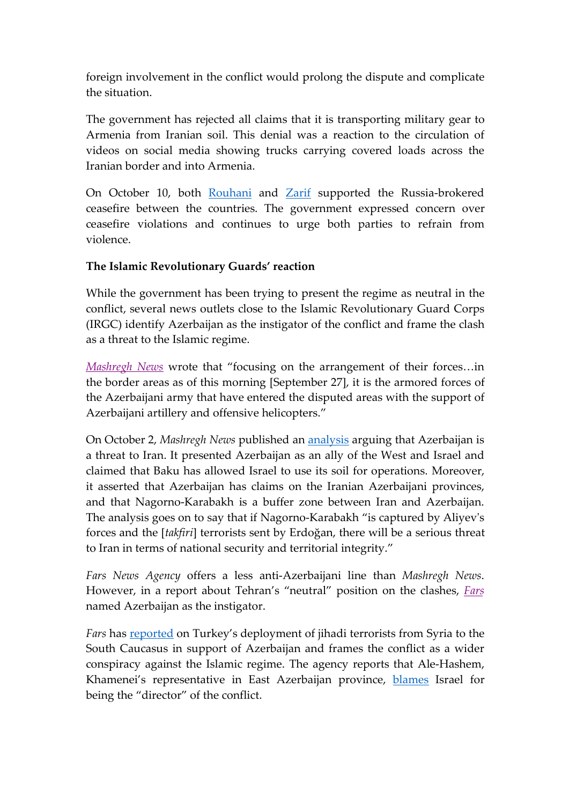foreign involvement in the conflict would prolong the dispute and complicate the situation.

The government has rejected all claims that it is transporting military gear to Armenia from Iranian soil. This denial was a reaction to the circulation of videos on social media showing trucks carrying covered loads across the Iranian border and into Armenia.

On October 10, both [Rouhani](https://www.tehrantimes.com/news/453403/Rouhani-Putin-hold-talks-on-Nagorno-Karabakh-conflict) and [Zarif](https://twitter.com/JZarif/status/1314846000343777280) supported the Russia-brokered ceasefire between the countries. The government expressed concern over ceasefire violations and continues to urge both parties to refrain from violence.

### **The Islamic Revolutionary Guards' reaction**

While the government has been trying to present the regime as neutral in the conflict, several news outlets close to the Islamic Revolutionary Guard Corps (IRGC) identify Azerbaijan as the instigator of the conflict and frame the clash as a threat to the Islamic regime.

*[Mashregh News](https://www.mashreghnews.ir/news/1123405/%D8%A2%D8%BA%D8%A7%D8%B2-%D8%AF%D8%B1%DA%AF%DB%8C%D8%B1%DB%8C-%D8%B3%D9%86%DA%AF%DB%8C%D9%86-%D9%86%D8%B8%D8%A7%D9%85%DB%8C-%D8%AF%D8%B1-%D9%85%D9%86%D8%B7%D9%82%D9%87-%D9%82%D8%B1%D9%87-%D8%A8%D8%A7%D8%BA-%D8%A7%D8%AD%D8%AA%D9%85%D8%A7%D9%84-%D9%88%D9%82%D9%88%D8%B9-%D9%81%D8%A7%D8%AC%D8%B9%D9%87)* wrote that "focusing on the arrangement of their forces…in the border areas as of this morning [September 27], it is the armored forces of the Azerbaijani army that have entered the disputed areas with the support of Azerbaijani artillery and offensive helicopters."

On October 2, *Mashregh News* published an [analysis](https://www.mashreghnews.ir/news/1125341/%D8%AA%D8%AD%D9%84%DB%8C%D9%84%DB%8C-%D8%A8%D8%B1-%D8%AC%D9%86%DA%AF-%D9%82%D8%B1%D9%87-%D8%A8%D8%A7%D8%BA) arguing that Azerbaijan is a threat to Iran. It presented Azerbaijan as an ally of the West and Israel and claimed that Baku has allowed Israel to use its soil for operations. Moreover, it asserted that Azerbaijan has claims on the Iranian Azerbaijani provinces, and that Nagorno-Karabakh is a buffer zone between Iran and Azerbaijan. The analysis goes on to say that if Nagorno-Karabakh "is captured by Aliyev's forces and the [*takfiri*] terrorists sent by Erdoğan, there will be a serious threat to Iran in terms of national security and territorial integrity."

*Fars News Agency* offers a less anti-Azerbaijani line than *Mashregh News*. However, in a report about Tehran's "neutral" position on the clashes, *[Fars](https://www.farsnews.ir/news/13990712000322/%D9%85%D9%88%D8%A7%D8%B6%D8%B9-%D8%AA%D9%87%D8%B1%D8%A7%D9%86-%D8%AF%D8%B1-%D8%AA%D9%86%D8%B4%E2%80%8C%D9%87%D8%A7%DB%8C-%D9%82%D8%B1%D9%87%E2%80%8C%D8%A8%D8%A7%D8%BA-%D8%A7%D8%B2-%D8%AF%D8%B9%D9%88%D8%AA-%D8%A8%D9%87-%D8%AE%D9%88%DB%8C%D8%B4%D8%AA%D9%86%E2%80%8C%D8%AF%D8%A7%D8%B1%DB%8C-%D8%AA%D8%A7-%D9%87%D8%B4%D8%AF%D8%A7%D8%B1-%D8%A8%D9%87)* named Azerbaijan as the instigator.

*Fars* has [reported](https://www.farsnews.ir/news/13990710000034/%D8%AA%DA%A9%D8%B1%D8%A7%D8%B1-%D8%A7%D8%AF%D8%B9%D8%A7%DB%8C-%D8%A7%D8%B9%D8%B2%D8%A7%D9%85-%D8%AC%D9%86%DA%AF%D8%AC%D9%88%DB%8C%D8%A7%D9%86-%D8%AE%D8%A7%D8%B1%D8%AC%DB%8C-%D8%A8%D9%87-%D9%82%D8%B1%D9%87%E2%80%8C%D8%A8%D8%A7%D8%BA-%D8%A7%DB%8C%D9%86-%D8%A8%D8%A7%D8%B1-%D8%A7%D8%B2-%D8%B2%D8%A8%D8%A7%D9%86-%D9%85%D8%B3%DA%A9%D9%88) on Turkey's deployment of jihadi terrorists from Syria to the South Caucasus in support of Azerbaijan and frames the conflict as a wider conspiracy against the Islamic regime. The agency reports that Ale-Hashem, Khamenei's representative in East Azerbaijan province, [blames](https://www.farsnews.ir/azarbaijan-sharghi/news/13990710000834/%D8%B1%DA%98%DB%8C%D9%85-%D8%B5%D9%87%DB%8C%D9%88%D9%86%DB%8C%D8%B3%D8%AA%DB%8C-%D8%B5%D8%AD%D9%86%D9%87%E2%80%8C%DA%AF%D8%B1%D8%AF%D8%A7%D9%86-%D9%85%D9%86%D8%A7%D9%82%D8%B4%D9%87-%D9%82%D8%B1%D9%87%E2%80%8C%D8%A8%D8%A7%D8%BA) Israel for being the "director" of the conflict.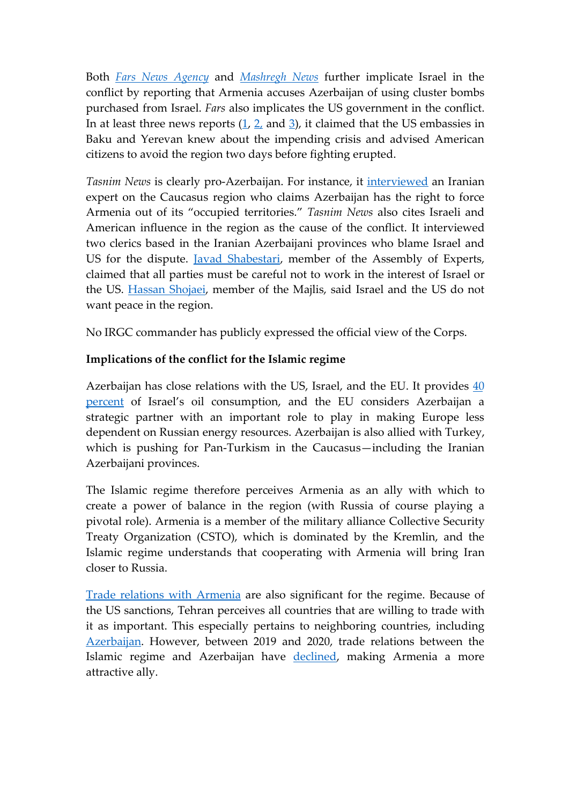Both *[Fars News Agency](https://www.farsnews.ir/news/13990712000897/%D8%A7%D8%B1%D9%85%D9%86%D8%B3%D8%AA%D8%A7%D9%86-%D9%85%D8%AF%D8%B9%DB%8C-%D8%A7%D8%B3%D8%AA%D9%81%D8%A7%D8%AF%D9%87-%D8%A2%D8%B0%D8%B1%D8%A8%D8%A7%DB%8C%D8%AC%D8%A7%D9%86-%D8%A7%D8%B2-%D8%A8%D9%85%D8%A8%E2%80%8C%D9%87%D8%A7%DB%8C-%D8%AE%D9%88%D8%B4%D9%87%E2%80%8C%D8%A7%DB%8C-%D8%A7%D8%B3%D8%B1%D8%A7%D8%A6%DB%8C%D9%84%DB%8C-%D8%B4%D8%AF)* and *[Mashregh News](https://www.mashreghnews.ir/news/1125880/%D8%A7%D8%B1%D9%85%D9%86%D8%B3%D8%AA%D8%A7%D9%86-%D8%A2%D8%B0%D8%B1%D8%A8%D8%A7%DB%8C%D8%AC%D8%A7%D9%86-%D8%A7%D8%B2-%D8%A8%D9%85%D8%A8-%D9%87%D8%A7%DB%8C-%D8%AE%D9%88%D8%B4%D9%87-%D8%A7%DB%8C-%D8%A7%D8%B3%D8%B1%D8%A7%D8%A6%DB%8C%D9%84%DB%8C-%D8%A7%D8%B3%D8%AA%D9%81%D8%A7%D8%AF%D9%87-%D9%85%DB%8C-%DA%A9%D9%86%D8%AF)* further implicate Israel in the conflict by reporting that Armenia accuses Azerbaijan of using cluster bombs purchased from Israel. *Fars* also implicates the US government in the conflict. Inat least three news reports  $(1, 2, \text{ and } 3)$  $(1, 2, \text{ and } 3)$  $(1, 2, \text{ and } 3)$  $(1, 2, \text{ and } 3)$  $(1, 2, \text{ and } 3)$  $(1, 2, \text{ and } 3)$ , it claimed that the US embassies in Baku and Yerevan knew about the impending crisis and advised American citizens to avoid the region two days before fighting erupted.

*Tasnim News* is clearly pro-Azerbaijan. For instance, it [interviewed](https://www.tasnimnews.com/fa/news/1399/07/12/2362048/%D9%87%D9%85%D9%87-%DA%86%DB%8C%D8%B2-%D8%AF%D8%B1%D8%A8%D8%A7%D8%B1%D9%87-%D8%AC%D9%86%DA%AF-%D9%82%D8%B1%D9%87-%D8%A8%D8%A7%D8%BA-%D8%AC%D9%85%D9%87%D9%88%D8%B1%DB%8C-%D8%A2%D8%B0%D8%B1%D8%A8%D8%A7%DB%8C%D8%AC%D8%A7%D9%86-%D9%88-%D8%A7%D8%B1%D9%85%D9%86%D8%B3%D8%AA%D8%A7%D9%86-%DA%86%D9%87-%D9%85%DB%8C-%D8%AE%D9%88%D8%A7%D9%87%D9%86%D8%AF) an Iranian expert on the Caucasus region who claims Azerbaijan has the right to force Armenia out of its "occupied territories." *Tasnim News* also cites Israeli and American influence in the region as the cause of the conflict. It interviewed two clerics based in the Iranian Azerbaijani provinces who blame Israel and US for the dispute. [Javad Shabestari](https://www.tasnimnews.com/fa/news/1399/07/13/2362328/%D8%B1%D8%AF%D9%BE%D8%A7%DB%8C-%D8%B1%DA%98%DB%8C%D9%85-%D8%B5%D9%87%DB%8C%D9%88%D9%86%DB%8C%D8%B3%D8%AA%DB%8C-%D9%88-%D8%A2%D9%85%D8%B1%DB%8C%DA%A9%D8%A7-%D8%AF%D8%B1-%D8%AC%D9%86%DA%AF-%D8%A7%D8%B1%D9%85%D9%86%D8%B3%D8%AA%D8%A7%D9%86-%D9%88-%D8%A2%D8%B0%D8%B1%D8%A8%D8%A7%DB%8C%D8%AC%D8%A7%D9%86-%D8%AF%DB%8C%D8%AF%D9%87-%D9%85%DB%8C-%D8%B4%D9%88%D8%AF), member of the Assembly of Experts, claimed that all parties must be careful not to work in the interest of Israel or the US. [Hassan Shojaei](https://www.tasnimnews.com/fa/news/1399/07/13/2362195/%D8%AA%D9%86%D8%B4-%D8%A2%D9%81%D8%B1%DB%8C%D9%86%DB%8C-%D8%A2%D8%B4%DA%A9%D8%A7%D8%B1-%D8%A2%D9%85%D8%B1%DB%8C%DA%A9%D8%A7-%D9%88-%D8%B1%DA%98%DB%8C%D9%85-%D8%B5%D9%87%DB%8C%D9%88%D9%86%DB%8C%D8%B3%D8%AA%DB%8C-%D8%AF%D8%B1-%D9%85%D9%86%D8%A7%D9%82%D8%B4%D9%87-%D9%82%D8%B1%D9%87-%D8%A8%D8%A7%D8%BA-%D8%A7%D8%B1%D9%85%D9%86%D8%B3%D8%AA%D8%A7%D9%86-%D9%88-%D8%A2%D8%B0%D8%B1%D8%A8%D8%A7%DB%8C%D8%AC%D8%A7%D9%86-%D8%B3%D8%B1-%D9%85%DB%8C%D8%B2-%DA%AF%D9%81%D8%AA-%D9%88%DA%AF%D9%88-%D8%A8%D9%86%D8%B4%DB%8C%D9%86%D9%86%D8%AF), member of the Majlis, said Israel and the US do not want peace in the region.

No IRGC commander has publicly expressed the official view of the Corps.

# **Implications of the conflict for the Islamic regime**

Azerbaijan has close relations with the US, Israel, and the EU. It provides [40](https://www.jpost.com/israel-news/azerbaijani-ambassador-border-hostilities-may-harm-israeli-oil-supplies-635851) percent of Israel's oil consumption, and the EU considers Azerbaijan a strategic partner with an important role to play in making Europe less dependent on Russian energy resources. Azerbaijan is also allied with Turkey, which is pushing for Pan-Turkism in the Caucasus—including the Iranian Azerbaijani provinces.

The Islamic regime therefore perceives Armenia as an ally with which to create a power of balance in the region (with Russia of course playing a pivotal role). Armenia is a member of the military alliance Collective Security Treaty Organization (CSTO), which is dominated by the Kremlin, and the Islamic regime understands that cooperating with Armenia will bring Iran closer to Russia.

[Trade relations with Armenia](https://en.irna.ir/news/83497678/Iran-Armenia-strategic-partners-in-Eurasian-Union) are also significant for the regime. Because of the US sanctions, Tehran perceives all countries that are willing to trade with it as important. This especially pertains to neighboring countries, including [Azerbaijan.](https://www.tehrantimes.com/news/450391/Iran-attaches-high-priority-to-expand-economic-ties-with-Azerbaijan) However, between 2019 and 2020, trade relations between the Islamic regime and Azerbaijan have [declined](https://www.azernews.az/business/167629.html?__cf_chl_jschl_tk__=58b8b3a17cdf6ba2e3a6cb1cacb2fbc9c23831cc-1601920187-0-AZCyr_MysHVVgg2J1G2CjTd1Yos15Coxcfb5lcLxNCOMiEzZEQuLkScw0HYDq1_hTpNCoJL7kVzLHbaoerDZW2KGMaHzt7iPAlvr6Eiban3qkDxSnNE0PIel6E5uMU_CpQ-coHAi61NaYItLUlTJklSEAVDvNzx9k9l4xxfZNIxFgv_5_GdBJNCzGmEPGj2WbK6bEux7txs51wn8Q9LMN-HhRtmlHJvlooBkb5vpqtTvalfj411VeEgqyQb74rSi01cY-7Jotg06FIM_rIXkiDn-Z4eO3Hk0zrKqJEXsTgAQl2NOXNvRQHW4o_AF0UaDBowW9FGhDhRn4ju2zoD8c1cKD0OsQnJLrRiuFFT9k4Hg), making Armenia a more attractive ally.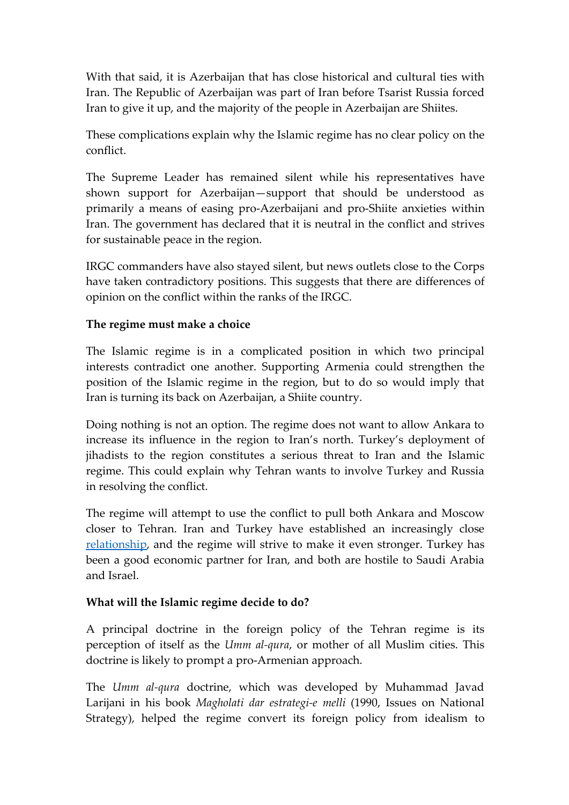With that said, it is Azerbaijan that has close historical and cultural ties with Iran. The Republic of Azerbaijan was part of Iran before Tsarist Russia forced Iran to give it up, and the majority of the people in Azerbaijan are Shiites.

These complications explain why the Islamic regime has no clear policy on the conflict.

The Supreme Leader has remained silent while his representatives have shown support for Azerbaijan—support that should be understood as primarily a means of easing pro-Azerbaijani and pro-Shiite anxieties within Iran. The government has declared that it is neutral in the conflict and strives for sustainable peace in the region.

IRGC commanders have also stayed silent, but news outlets close to the Corps have taken contradictory positions. This suggests that there are differences of opinion on the conflict within the ranks of the IRGC.

#### **The regime must make a choice**

The Islamic regime is in a complicated position in which two principal interests contradict one another. Supporting Armenia could strengthen the position of the Islamic regime in the region, but to do so would imply that Iran is turning its back on Azerbaijan, a Shiite country.

Doing nothing is not an option. The regime does not want to allow Ankara to increase its influence in the region to Iran's north. Turkey's deployment of jihadists to the region constitutes a serious threat to Iran and the Islamic regime. This could explain why Tehran wants to involve Turkey and Russia in resolving the conflict.

The regime will attempt to use the conflict to pull both Ankara and Moscow closer to Tehran. Iran and Turkey have established an increasingly close [relationship,](https://carnegieendowment.org/sada/81273) and the regime will strive to make it even stronger. Turkey has been a good economic partner for Iran, and both are hostile to Saudi Arabia and Israel.

# **What will the Islamic regime decide to do?**

A principal doctrine in the foreign policy of the Tehran regime is its perception of itself as the *Umm al-qura*, or mother of all Muslim cities. This doctrine is likely to prompt a pro-Armenian approach.

The *Umm al-qura* doctrine, which was developed by Muhammad Javad Larijani in his book *Magholati dar estrategi-e melli* (1990, Issues on National Strategy), helped the regime convert its foreign policy from idealism to